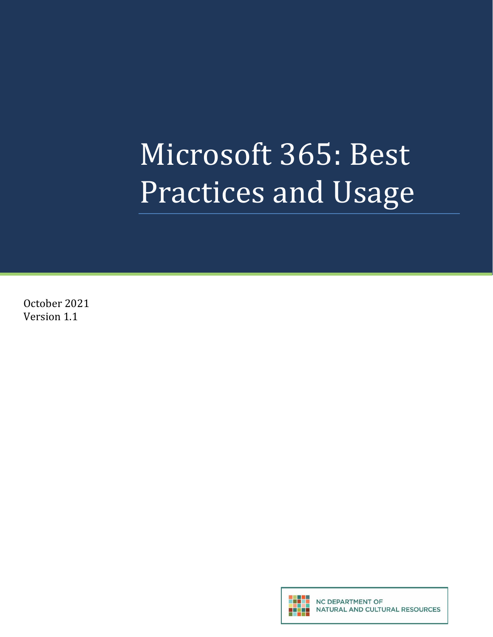# Microsoft 365: Best Practices and Usage

October 2021 Version 1.1

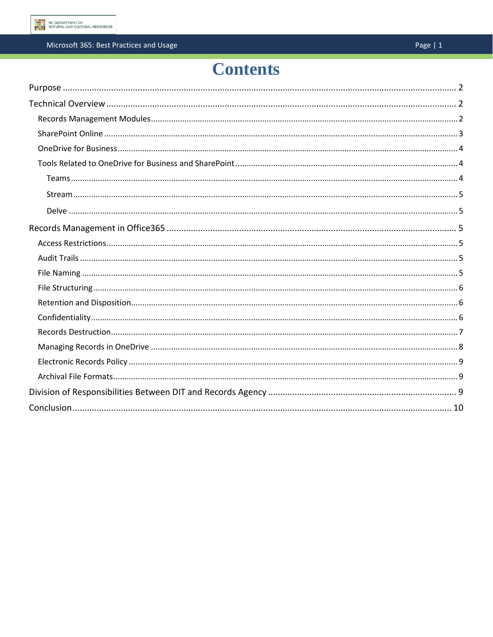# **Contents**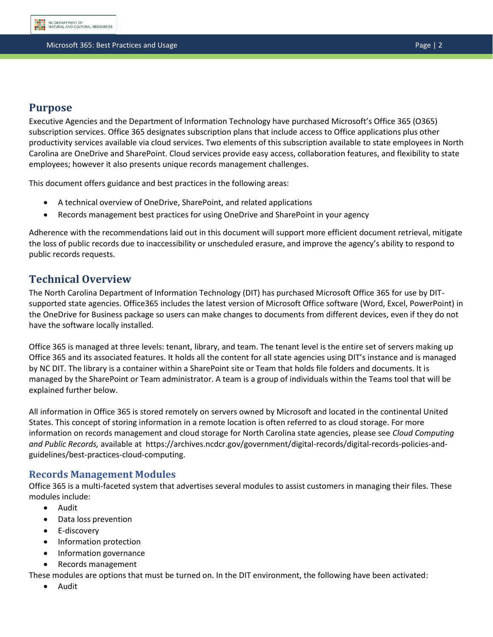

# <span id="page-2-0"></span>**Purpose**

Executive Agencies and the Department of Information Technology have purchased Microsoft's Office 365 (O365) subscription services. Office 365 designates subscription plans that include access to Office applications plus other productivity services available via cloud services. Two elements of this subscription available to state employees in North Carolina are OneDrive and SharePoint. Cloud services provide easy access, collaboration features, and flexibility to state employees; however it also presents unique records management challenges.

This document offers guidance and best practices in the following areas:

- A technical overview of OneDrive, SharePoint, and related applications
- Records management best practices for using OneDrive and SharePoint in your agency

Adherence with the recommendations laid out in this document will support more efficient document retrieval, mitigate the loss of public records due to inaccessibility or unscheduled erasure, and improve the agency's ability to respond to public records requests.

# <span id="page-2-1"></span>**Technical Overview**

The North Carolina Department of Information Technology (DIT) has purchased Microsoft Office 365 for use by DITsupported state agencies. Office365 includes the latest version of Microsoft Office software (Word, Excel, PowerPoint) in the OneDrive for Business package so users can make changes to documents from different devices, even if they do not have the software locally installed.

Office 365 is managed at three levels: tenant, library, and team. The tenant level is the entire set of servers making up Office 365 and its associated features. It holds all the content for all state agencies using DIT's instance and is managed by NC DIT. The library is a container within a SharePoint site or Team that holds file folders and documents. It is managed by the SharePoint or Team administrator. A team is a group of individuals within the Teams tool that will be explained further below.

All information in Office 365 is stored remotely on servers owned by Microsoft and located in the continental United States. This concept of storing information in a remote location is often referred to as cloud storage. For more information on records management and cloud storage for North Carolina state agencies, please see *Cloud Computing and Public Records,* available at https://archives.ncdcr.gov/government/digital-records/digital-records-policies-andguidelines/best-practices-cloud-computing.

# <span id="page-2-2"></span>**Records Management Modules**

Office 365 is a multi-faceted system that advertises several modules to assist customers in managing their files. These modules include:

- Audit
- Data loss prevention
- E-discovery
- Information protection
- Information governance
- Records management

These modules are options that must be turned on. In the DIT environment, the following have been activated:

• Audit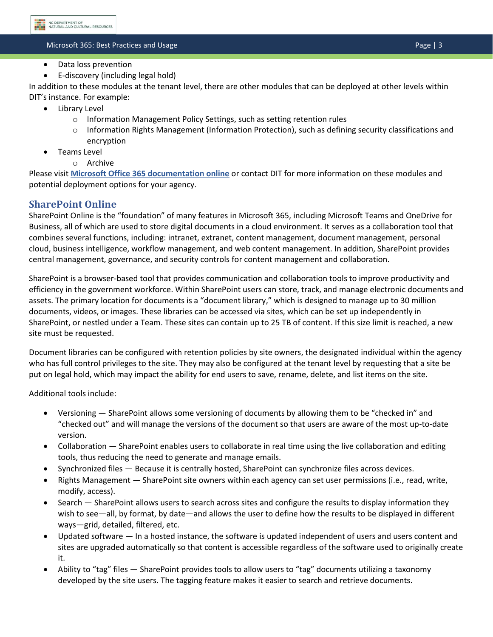- Data loss prevention
- E-discovery (including legal hold)

In addition to these modules at the tenant level, there are other modules that can be deployed at other levels within DIT's instance. For example:

- Library Level
	- o Information Management Policy Settings, such as setting retention rules
	- $\circ$  Information Rights Management (Information Protection), such as defining security classifications and encryption
- Teams Level
	- o Archive

Please visit **[Microsoft Office 365 documentation online](https://docs.microsoft.com/en-us/microsoft-365/?view=o365-worldwide)** or contact DIT for more information on these modules and potential deployment options for your agency.

# <span id="page-3-0"></span>**SharePoint Online**

SharePoint Online is the "foundation" of many features in Microsoft 365, including Microsoft Teams and OneDrive for Business, all of which are used to store digital documents in a cloud environment. It serves as a collaboration tool that combines several functions, including: intranet, extranet, content management, document management, personal cloud, business intelligence, workflow management, and web content management. In addition, SharePoint provides central management, governance, and security controls for content management and collaboration.

SharePoint is a browser-based tool that provides communication and collaboration tools to improve productivity and efficiency in the government workforce. Within SharePoint users can store, track, and manage electronic documents and assets. The primary location for documents is a "document library," which is designed to manage up to 30 million documents, videos, or images. These libraries can be accessed via sites, which can be set up independently in SharePoint, or nestled under a Team. These sites can contain up to 25 TB of content. If this size limit is reached, a new site must be requested.

Document libraries can be configured with retention policies by site owners, the designated individual within the agency who has full control privileges to the site. They may also be configured at the tenant level by requesting that a site be put on legal hold, which may impact the ability for end users to save, rename, delete, and list items on the site.

Additional tools include:

- Versioning SharePoint allows some versioning of documents by allowing them to be "checked in" and "checked out" and will manage the versions of the document so that users are aware of the most up-to-date version.
- Collaboration SharePoint enables users to collaborate in real time using the live collaboration and editing tools, thus reducing the need to generate and manage emails.
- Synchronized files Because it is centrally hosted, SharePoint can synchronize files across devices.
- Rights Management SharePoint site owners within each agency can set user permissions (i.e., read, write, modify, access).
- Search SharePoint allows users to search across sites and configure the results to display information they wish to see—all, by format, by date—and allows the user to define how the results to be displayed in different ways—grid, detailed, filtered, etc.
- Updated software In a hosted instance, the software is updated independent of users and users content and sites are upgraded automatically so that content is accessible regardless of the software used to originally create it.
- Ability to "tag" files SharePoint provides tools to allow users to "tag" documents utilizing a taxonomy developed by the site users. The tagging feature makes it easier to search and retrieve documents.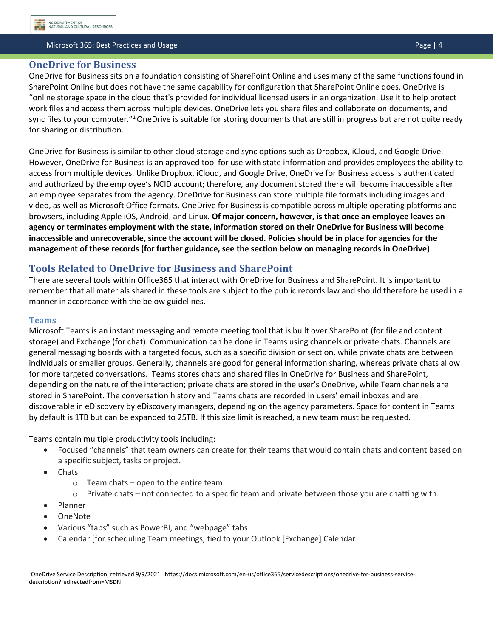#### <span id="page-4-0"></span>**OneDrive for Business**

OneDrive for Business sits on a foundation consisting of SharePoint Online and uses many of the same functions found in SharePoint Online but does not have the same capability for configuration that SharePoint Online does. OneDrive is "online storage space in the cloud that's provided for individual licensed users in an organization. Use it to help protect work files and access them across multiple devices. OneDrive lets you share files and collaborate on documents, and sync files to your computer."<sup>1</sup> OneDrive is suitable for storing documents that are still in progress but are not quite ready for sharing or distribution.

OneDrive for Business is similar to other cloud storage and sync options such as Dropbox, iCloud, and Google Drive. However, OneDrive for Business is an approved tool for use with state information and provides employees the ability to access from multiple devices. Unlike Dropbox, iCloud, and Google Drive, OneDrive for Business access is authenticated and authorized by the employee's NCID account; therefore, any document stored there will become inaccessible after an employee separates from the agency. OneDrive for Business can store multiple file formats including images and video, as well as Microsoft Office formats. OneDrive for Business is compatible across multiple operating platforms and browsers, including Apple iOS, Android, and Linux. **Of major concern, however, is that once an employee leaves an agency or terminates employment with the state, information stored on their OneDrive for Business will become inaccessible and unrecoverable, since the account will be closed. Policies should be in place for agencies for the management of these records (for further guidance, see the section below on managing records in OneDrive)**.

# <span id="page-4-1"></span>**Tools Related to OneDrive for Business and SharePoint**

There are several tools within Office365 that interact with OneDrive for Business and SharePoint. It is important to remember that all materials shared in these tools are subject to the public records law and should therefore be used in a manner in accordance with the below guidelines.

#### <span id="page-4-2"></span>**Teams**

Microsoft Teams is an instant messaging and remote meeting tool that is built over SharePoint (for file and content storage) and Exchange (for chat). Communication can be done in Teams using channels or private chats. Channels are general messaging boards with a targeted focus, such as a specific division or section, while private chats are between individuals or smaller groups. Generally, channels are good for general information sharing, whereas private chats allow for more targeted conversations. Teams stores chats and shared files in OneDrive for Business and SharePoint, depending on the nature of the interaction; private chats are stored in the user's OneDrive, while Team channels are stored in SharePoint. The conversation history and Teams chats are recorded in users' email inboxes and are discoverable in eDiscovery by eDiscovery managers, depending on the agency parameters. Space for content in Teams by default is 1TB but can be expanded to 25TB. If this size limit is reached, a new team must be requested.

Teams contain multiple productivity tools including:

- Focused "channels" that team owners can create for their teams that would contain chats and content based on a specific subject, tasks or project.
- Chats
	- $\circ$  Team chats open to the entire team
	- $\circ$  Private chats not connected to a specific team and private between those you are chatting with.
- Planner
- OneNote
- Various "tabs" such as PowerBI, and "webpage" tabs
- Calendar [for scheduling Team meetings, tied to your Outlook [Exchange] Calendar

<sup>1</sup>OneDrive Service Description, retrieved 9/9/2021, https://docs.microsoft.com/en-us/office365/servicedescriptions/onedrive-for-business-servicedescription?redirectedfrom=MSDN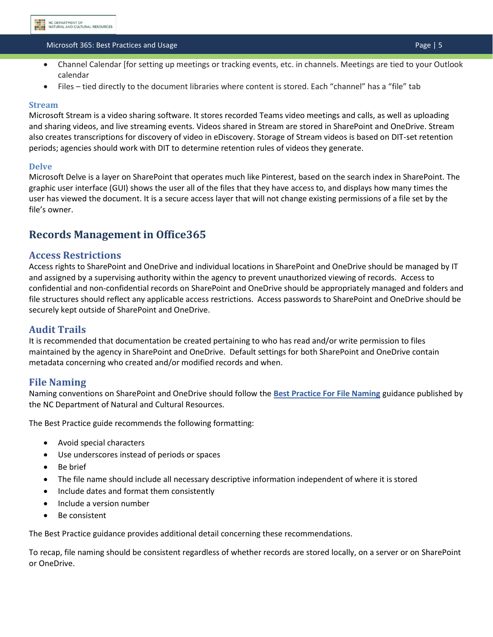#### Microsoft 365: Best Practices and Usage Page Page Page Page Page | 5

- Channel Calendar [for setting up meetings or tracking events, etc. in channels. Meetings are tied to your Outlook calendar
- Files tied directly to the document libraries where content is stored. Each "channel" has a "file" tab

#### <span id="page-5-0"></span>**Stream**

Microsoft Stream is a video sharing software. It stores recorded Teams video meetings and calls, as well as uploading and sharing videos, and live streaming events. Videos shared in Stream are stored in SharePoint and OneDrive. Stream also creates transcriptions for discovery of video in eDiscovery. Storage of Stream videos is based on DIT-set retention periods; agencies should work with DIT to determine retention rules of videos they generate.

#### <span id="page-5-1"></span>**Delve**

Microsoft Delve is a layer on SharePoint that operates much like Pinterest, based on the search index in SharePoint. The graphic user interface (GUI) shows the user all of the files that they have access to, and displays how many times the user has viewed the document. It is a secure access layer that will not change existing permissions of a file set by the file's owner.

# <span id="page-5-2"></span>**Records Management in Office365**

#### <span id="page-5-3"></span>**Access Restrictions**

Access rights to SharePoint and OneDrive and individual locations in SharePoint and OneDrive should be managed by IT and assigned by a supervising authority within the agency to prevent unauthorized viewing of records. Access to confidential and non-confidential records on SharePoint and OneDrive should be appropriately managed and folders and file structures should reflect any applicable access restrictions. Access passwords to SharePoint and OneDrive should be securely kept outside of SharePoint and OneDrive.

#### <span id="page-5-4"></span>**Audit Trails**

It is recommended that documentation be created pertaining to who has read and/or write permission to files maintained by the agency in SharePoint and OneDrive. Default settings for both SharePoint and OneDrive contain metadata concerning who created and/or modified records and when.

#### <span id="page-5-5"></span>**File Naming**

Naming conventions on SharePoint and OneDrive should follow the **[Best Practice For File Naming](https://archives.ncdcr.gov/media/829/open)** guidance published by the NC Department of Natural and Cultural Resources.

The Best Practice guide recommends the following formatting:

- Avoid special characters
- Use underscores instead of periods or spaces
- Be brief
- The file name should include all necessary descriptive information independent of where it is stored
- Include dates and format them consistently
- Include a version number
- Be consistent

The Best Practice guidance provides additional detail concerning these recommendations.

To recap, file naming should be consistent regardless of whether records are stored locally, on a server or on SharePoint or OneDrive.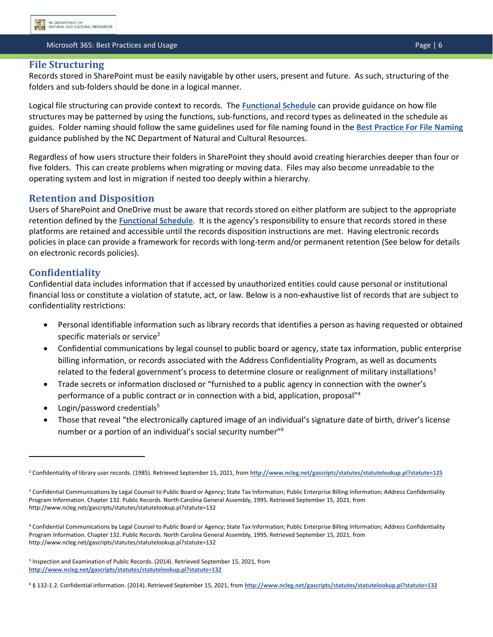#### <span id="page-6-0"></span>**File Structuring**

Records stored in SharePoint must be easily navigable by other users, present and future. As such, structuring of the folders and sub-folders should be done in a logical manner.

Logical file structuring can provide context to records. The **[Functional Schedule](https://archives.ncdcr.gov/government/retention-schedules/state-agency-schedules/functional-schedule-north-carolina-state)** can provide guidance on how file structures may be patterned by using the functions, sub-functions, and record types as delineated in the schedule as guides. Folder naming should follow the same guidelines used for file naming found in the **[Best Practice For File Naming](https://archives.ncdcr.gov/media/829/open)** guidance published by the NC Department of Natural and Cultural Resources.

Regardless of how users structure their folders in SharePoint they should avoid creating hierarchies deeper than four or five folders. This can create problems when migrating or moving data. Files may also become unreadable to the operating system and lost in migration if nested too deeply within a hierarchy.

# <span id="page-6-1"></span>**Retention and Disposition**

Users of SharePoint and OneDrive must be aware that records stored on either platform are subject to the appropriate retention defined by the **[Functional Schedule](https://archives.ncdcr.gov/government/retention-schedules/state-agency-schedules/functional-schedule-north-carolina-state)**. It is the agency's responsibility to ensure that records stored in these platforms are retained and accessible until the records disposition instructions are met. Having electronic records policies in place can provide a framework for records with long-term and/or permanent retention (See below for details on electronic records policies).

# <span id="page-6-2"></span>**Confidentiality**

Confidential data includes information that if accessed by unauthorized entities could cause personal or institutional financial loss or constitute a violation of statute, act, or law. Below is a non-exhaustive list of records that are subject to confidentiality restrictions:

- Personal identifiable information such as library records that identifies a person as having requested or obtained specific materials or service<sup>2</sup>
- Confidential communications by legal counsel to public board or agency, state tax information, public enterprise billing information, or records associated with the Address Confidentiality Program, as well as documents related to the federal government's process to determine closure or realignment of military installations<sup>3</sup>
- Trade secrets or information disclosed or "furnished to a public agency in connection with the owner's performance of a public contract or in connection with a bid, application, proposal"<sup>4</sup>
- Login/password credentials<sup>5</sup>
- Those that reveal "the electronically captured image of an individual's signature date of birth, driver's license number or a portion of an individual's social security number"<sup>6</sup>

<sup>&</sup>lt;sup>2</sup> Confidentiality of library user records. (1985). Retrieved September 15, 2021, from <http://www.ncleg.net/gascripts/statutes/statutelookup.pl?statute=125>

<sup>&</sup>lt;sup>3</sup> Confidential Communications by Legal Counsel to Public Board or Agency; State Tax Information; Public Enterprise Billing Information; Address Confidentiality Program Information. Chapter 132. Public Records. North Carolina General Assembly, 1995. Retrieved September 15, 2021, from http://www.ncleg.net/gascripts/statutes/statutelookup.pl?statute=132

<sup>4</sup> Confidential Communications by Legal Counsel to Public Board or Agency; State Tax Information; Public Enterprise Billing Information; Address Confidentiality Program Information. Chapter 132. Public Records. North Carolina General Assembly, 1995. Retrieved September 15, 2021, from http://www.ncleg.net/gascripts/statutes/statutelookup.pl?statute=132

<sup>5</sup> Inspection and Examination of Public Records. (2014). Retrieved September 15, 2021, from **<http://www.ncleg.net/gascripts/statutes/statutelookup.pl?statute=132>**

<sup>6</sup> § 132-1.2. Confidential information. (2014). Retrieved September 15, 2021, from **<http://www.ncleg.net/gascripts/statutes/statutelookup.pl?statute=132>**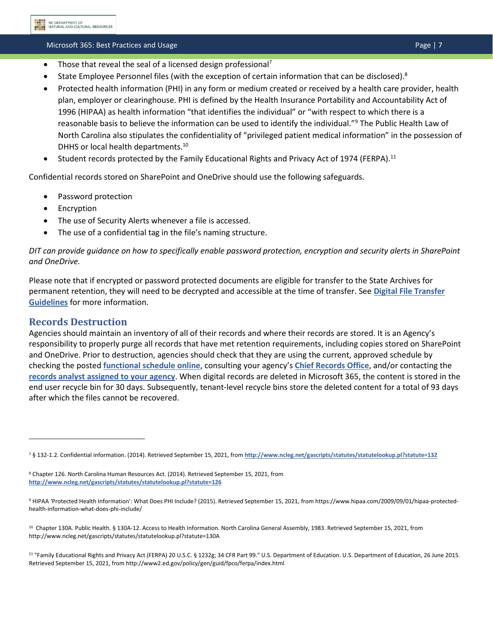#### Microsoft 365: Best Practices and Usage Page Page Page Page Page | 7

- Those that reveal the seal of a licensed design professional<sup>7</sup>
- State Employee Personnel files (with the exception of certain information that can be disclosed).<sup>8</sup>
- Protected health information (PHI) in any form or medium created or received by a health care provider, health plan, employer or clearinghouse. PHI is defined by the Health Insurance Portability and Accountability Act of 1996 (HIPAA) as health information "that identifies the individual" or "with respect to which there is a reasonable basis to believe the information can be used to identify the individual."<sup>9</sup> The Public Health Law of North Carolina also stipulates the confidentiality of "privileged patient medical information" in the possession of DHHS or local health departments.<sup>10</sup>
- Student records protected by the Family Educational Rights and Privacy Act of 1974 (FERPA).<sup>11</sup>

Confidential records stored on SharePoint and OneDrive should use the following safeguards.

- Password protection
- **Encryption**
- The use of Security Alerts whenever a file is accessed.
- The use of a confidential tag in the file's naming structure.

# *DIT can provide guidance on how to specifically enable password protection, encryption and security alerts in SharePoint and OneDrive.*

Please note that if encrypted or password protected documents are eligible for transfer to the State Archives for permanent retention, they will need to be decrypted and accessible at the time of transfer. See **[Digital File Transfer](https://archives.ncdcr.gov/government/digital-records/north-carolina-digital-repository/digital-file-transfer-guidelines)  [Guidelines](https://archives.ncdcr.gov/government/digital-records/north-carolina-digital-repository/digital-file-transfer-guidelines)** for more information.

# <span id="page-7-0"></span>**Records Destruction**

Agencies should maintain an inventory of all of their records and where their records are stored. It is an Agency's responsibility to properly purge all records that have met retention requirements, including copies stored on SharePoint and OneDrive. Prior to destruction, agencies should check that they are using the current, approved schedule by checking the posted **[functional schedule online](https://archives.ncdcr.gov/government/state-government-agencies/functional-schedule)**, consulting your agency's **[Chief Records Office](https://archives.ncdcr.gov/government/state-government-agencies/cros)**, and/or contacting the **[records analyst assigned to your agency](https://archives.ncdcr.gov/government/state-government-agencies/records-analysts-state-agencies)**. When digital records are deleted in Microsoft 365, the content is stored in the end user recycle bin for 30 days. Subsequently, tenant-level recycle bins store the deleted content for a total of 93 days after which the files cannot be recovered.

<sup>7</sup> § 132-1.2. Confidential information. (2014). Retrieved September 15, 2021, from **<http://www.ncleg.net/gascripts/statutes/statutelookup.pl?statute=132>**

<sup>8</sup> Chapter 126. North Carolina Human Resources Act. (2014). Retrieved September 15, 2021, from **<http://www.ncleg.net/gascripts/statutes/statutelookup.pl?statute=126>**

<sup>9</sup> HIPAA 'Protected Health Information': What Does PHI Include? (2015). Retrieved September 15, 2021, from https://www.hipaa.com/2009/09/01/hipaa-protectedhealth-information-what-does-phi-include/

<sup>10</sup> Chapter 130A. Public Health. § 130A-12. Access to Health Information. North Carolina General Assembly, 1983. Retrieved September 15, 2021, from http://www.ncleg.net/gascripts/statutes/statutelookup.pl?statute=130A

<sup>11</sup> "Family Educational Rights and Privacy Act (FERPA) 20 U.S.C. § 1232g; 34 CFR Part 99." U.S. Department of Education. U.S. Department of Education, 26 June 2015. Retrieved September 15, 2021, from http://www2.ed.gov/policy/gen/guid/fpco/ferpa/index.html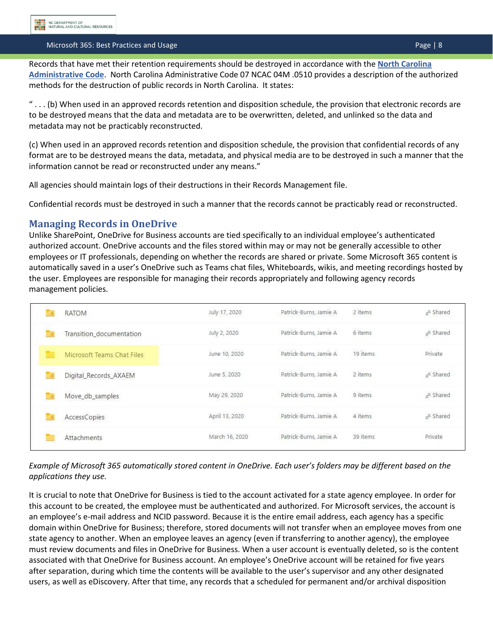#### Microsoft 365: Best Practices and Usage Page Page Page Page | 8

Records that have met their retention requirements should be destroyed in accordance with the **[North Carolina](http://reports.oah.state.nc.us/ncac/title%2007%20-%20natural%20and%20cultural%20resources/chapter%2004%20-%20archives%20and%20history/subchapter%20m/07%20ncac%2004m%20.0510.pdf)  [Administrative Code](http://reports.oah.state.nc.us/ncac/title%2007%20-%20natural%20and%20cultural%20resources/chapter%2004%20-%20archives%20and%20history/subchapter%20m/07%20ncac%2004m%20.0510.pdf)**. North Carolina Administrative Code 07 NCAC 04M .0510 provides a description of the authorized methods for the destruction of public records in North Carolina. It states:

 $" \dots$  (b) When used in an approved records retention and disposition schedule, the provision that electronic records are to be destroyed means that the data and metadata are to be overwritten, deleted, and unlinked so the data and metadata may not be practicably reconstructed.

(c) When used in an approved records retention and disposition schedule, the provision that confidential records of any format are to be destroyed means the data, metadata, and physical media are to be destroyed in such a manner that the information cannot be read or reconstructed under any means."

All agencies should maintain logs of their destructions in their Records Management file.

Confidential records must be destroyed in such a manner that the records cannot be practicably read or reconstructed.

#### <span id="page-8-0"></span>**Managing Records in OneDrive**

Unlike SharePoint, OneDrive for Business accounts are tied specifically to an individual employee's authenticated authorized account. OneDrive accounts and the files stored within may or may not be generally accessible to other employees or IT professionals, depending on whether the records are shared or private. Some Microsoft 365 content is automatically saved in a user's OneDrive such as Teams chat files, Whiteboards, wikis, and meeting recordings hosted by the user. Employees are responsible for managing their records appropriately and following agency records management policies.

|          | <b>RATOM</b>               | July 17, 2020  | Patrick-Burns, Jamie A | 2 items  | <sub>g</sub> <sup>q</sup> Shared |
|----------|----------------------------|----------------|------------------------|----------|----------------------------------|
|          | Transition documentation   | July 2, 2020   | Patrick-Burns, Jamie A | 6 items  | g <sup>R</sup> Shared            |
|          | Microsoft Teams Chat Files | June 10, 2020  | Patrick-Burns, Jamie A | 19 items | Private                          |
| $\alpha$ | Digital_Records_AXAEM      | June 5, 2020   | Patrick-Burns, Jamie A | 2 items  | <sub>a</sub> <sup>R</sup> Shared |
|          | Move_db_samples            | May 29, 2020   | Patrick-Burns, Jamie A | 9 items  | <sub>g</sub> R Shared            |
|          | AccessCopies               | April 13, 2020 | Patrick-Burns, Jamie A | 4 items  | <sub>g</sub> R Shared            |
|          | Attachments                | March 16, 2020 | Patrick-Burns, Jamie A | 39 items | Private                          |

#### *Example of Microsoft 365 automatically stored content in OneDrive. Each user's folders may be different based on the applications they use.*

It is crucial to note that OneDrive for Business is tied to the account activated for a state agency employee. In order for this account to be created, the employee must be authenticated and authorized. For Microsoft services, the account is an employee's e-mail address and NCID password. Because it is the entire email address, each agency has a specific domain within OneDrive for Business; therefore, stored documents will not transfer when an employee moves from one state agency to another. When an employee leaves an agency (even if transferring to another agency), the employee must review documents and files in OneDrive for Business. When a user account is eventually deleted, so is the content associated with that OneDrive for Business account. An employee's OneDrive account will be retained for five years after separation, during which time the contents will be available to the user's supervisor and any other designated users, as well as eDiscovery. After that time, any records that a scheduled for permanent and/or archival disposition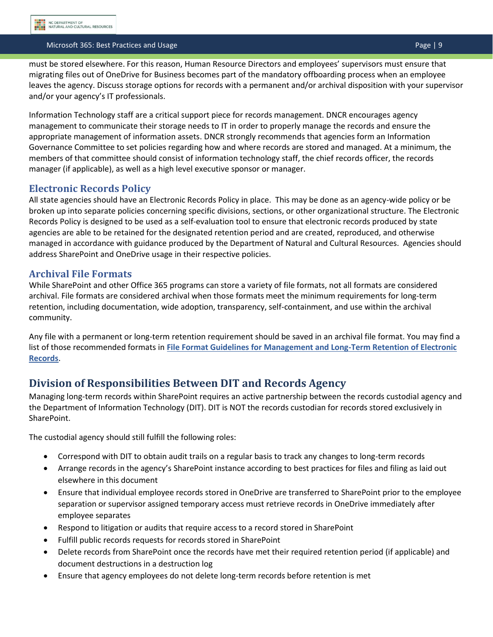#### Microsoft 365: Best Practices and Usage Page | 9

must be stored elsewhere. For this reason, Human Resource Directors and employees' supervisors must ensure that migrating files out of OneDrive for Business becomes part of the mandatory offboarding process when an employee leaves the agency. Discuss storage options for records with a permanent and/or archival disposition with your supervisor and/or your agency's IT professionals.

Information Technology staff are a critical support piece for records management. DNCR encourages agency management to communicate their storage needs to IT in order to properly manage the records and ensure the appropriate management of information assets. DNCR strongly recommends that agencies form an Information Governance Committee to set policies regarding how and where records are stored and managed. At a minimum, the members of that committee should consist of information technology staff, the chief records officer, the records manager (if applicable), as well as a high level executive sponsor or manager.

# <span id="page-9-0"></span>**Electronic Records Policy**

All state agencies should have an Electronic Records Policy in place. This may be done as an agency-wide policy or be broken up into separate policies concerning specific divisions, sections, or other organizational structure. The Electronic Records Policy is designed to be used as a self‐evaluation tool to ensure that electronic records produced by state agencies are able to be retained for the designated retention period and are created, reproduced, and otherwise managed in accordance with guidance produced by the Department of Natural and Cultural Resources. Agencies should address SharePoint and OneDrive usage in their respective policies.

# <span id="page-9-1"></span>**Archival File Formats**

While SharePoint and other Office 365 programs can store a variety of file formats, not all formats are considered archival. File formats are considered archival when those formats meet the minimum requirements for long-term retention, including documentation, wide adoption, transparency, self-containment, and use within the archival community.

Any file with a permanent or long-term retention requirement should be saved in an archival file format. You may find a list of those recommended formats in **[File Format Guidelines for Management and Long-Term Retention of Electronic](https://archives.ncdcr.gov/government/digital-records/digital-records-policies-and-guidelines/file-format-guidelines)  [Records](https://archives.ncdcr.gov/government/digital-records/digital-records-policies-and-guidelines/file-format-guidelines)**.

# <span id="page-9-2"></span>**Division of Responsibilities Between DIT and Records Agency**

Managing long-term records within SharePoint requires an active partnership between the records custodial agency and the Department of Information Technology (DIT). DIT is NOT the records custodian for records stored exclusively in SharePoint.

The custodial agency should still fulfill the following roles:

- Correspond with DIT to obtain audit trails on a regular basis to track any changes to long-term records
- Arrange records in the agency's SharePoint instance according to best practices for files and filing as laid out elsewhere in this document
- Ensure that individual employee records stored in OneDrive are transferred to SharePoint prior to the employee separation or supervisor assigned temporary access must retrieve records in OneDrive immediately after employee separates
- Respond to litigation or audits that require access to a record stored in SharePoint
- Fulfill public records requests for records stored in SharePoint
- Delete records from SharePoint once the records have met their required retention period (if applicable) and document destructions in a destruction log
- Ensure that agency employees do not delete long-term records before retention is met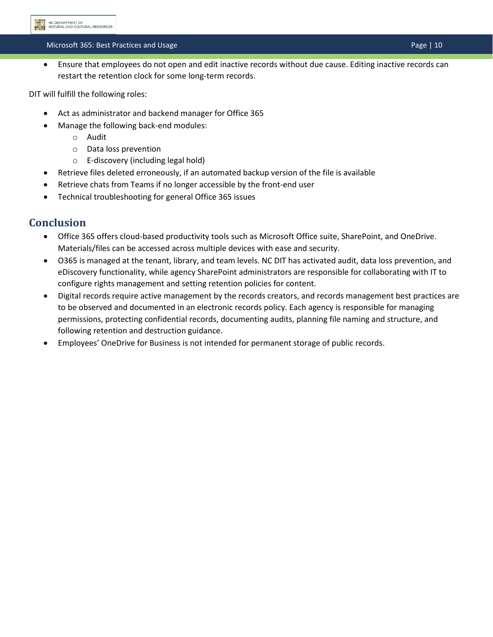### Microsoft 365: Best Practices and Usage Page | 10

• Ensure that employees do not open and edit inactive records without due cause. Editing inactive records can restart the retention clock for some long-term records.

DIT will fulfill the following roles:

- Act as administrator and backend manager for Office 365
- Manage the following back-end modules:
	- o Audit
	- o Data loss prevention
	- o E-discovery (including legal hold)
- Retrieve files deleted erroneously, if an automated backup version of the file is available
- Retrieve chats from Teams if no longer accessible by the front-end user
- Technical troubleshooting for general Office 365 issues

# <span id="page-10-0"></span>**Conclusion**

- Office 365 offers cloud-based productivity tools such as Microsoft Office suite, SharePoint, and OneDrive. Materials/files can be accessed across multiple devices with ease and security.
- O365 is managed at the tenant, library, and team levels. NC DIT has activated audit, data loss prevention, and eDiscovery functionality, while agency SharePoint administrators are responsible for collaborating with IT to configure rights management and setting retention policies for content.
- Digital records require active management by the records creators, and records management best practices are to be observed and documented in an electronic records policy. Each agency is responsible for managing permissions, protecting confidential records, documenting audits, planning file naming and structure, and following retention and destruction guidance.
- Employees' OneDrive for Business is not intended for permanent storage of public records.